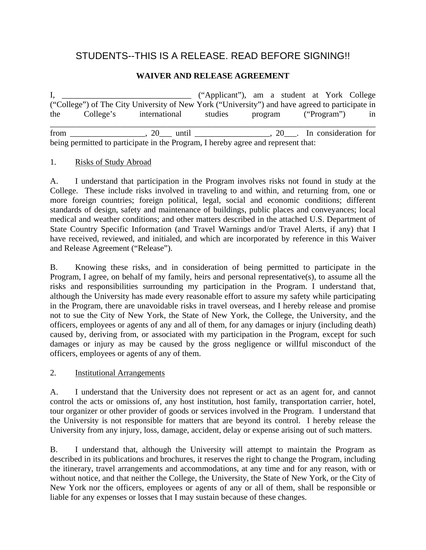# STUDENTS--THIS IS A RELEASE. READ BEFORE SIGNING!!

# **WAIVER AND RELEASE AGREEMENT**

I, \_\_\_\_\_\_\_\_\_\_\_\_\_\_\_\_\_\_\_\_\_\_\_\_\_\_\_\_\_\_\_ ("Applicant"), am a student at York College ("College") of The City University of New York ("University") and have agreed to participate in the College's international studies program ("Program") in \_\_\_\_\_\_\_\_\_\_\_\_\_\_\_\_\_\_\_\_\_\_\_\_\_\_\_\_\_\_\_\_\_\_\_\_\_\_\_\_\_\_\_\_\_\_\_\_\_\_\_\_\_\_\_\_\_\_\_\_\_\_\_\_\_\_\_\_\_\_\_\_\_\_\_\_\_\_ from the set of  $\sim$  20 until  $\sim$  20 . In consideration for being permitted to participate in the Program, I hereby agree and represent that:

#### 1. Risks of Study Abroad

A. I understand that participation in the Program involves risks not found in study at the College. These include risks involved in traveling to and within, and returning from, one or more foreign countries; foreign political, legal, social and economic conditions; different standards of design, safety and maintenance of buildings, public places and conveyances; local medical and weather conditions; and other matters described in the attached U.S. Department of State Country Specific Information (and Travel Warnings and/or Travel Alerts, if any) that I have received, reviewed, and initialed, and which are incorporated by reference in this Waiver and Release Agreement ("Release").

B. Knowing these risks, and in consideration of being permitted to participate in the Program, I agree, on behalf of my family, heirs and personal representative(s), to assume all the risks and responsibilities surrounding my participation in the Program. I understand that, although the University has made every reasonable effort to assure my safety while participating in the Program, there are unavoidable risks in travel overseas, and I hereby release and promise not to sue the City of New York, the State of New York, the College, the University, and the officers, employees or agents of any and all of them, for any damages or injury (including death) caused by, deriving from, or associated with my participation in the Program, except for such damages or injury as may be caused by the gross negligence or willful misconduct of the officers, employees or agents of any of them.

#### 2. Institutional Arrangements

A. I understand that the University does not represent or act as an agent for, and cannot control the acts or omissions of, any host institution, host family, transportation carrier, hotel, tour organizer or other provider of goods or services involved in the Program. I understand that the University is not responsible for matters that are beyond its control. I hereby release the University from any injury, loss, damage, accident, delay or expense arising out of such matters.

B. I understand that, although the University will attempt to maintain the Program as described in its publications and brochures, it reserves the right to change the Program, including the itinerary, travel arrangements and accommodations, at any time and for any reason, with or without notice, and that neither the College, the University, the State of New York, or the City of New York nor the officers, employees or agents of any or all of them, shall be responsible or liable for any expenses or losses that I may sustain because of these changes.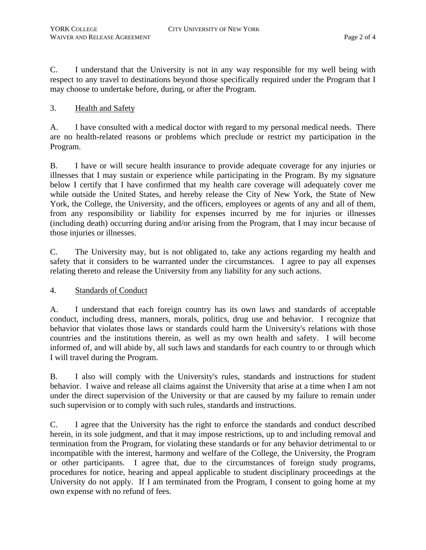C. I understand that the University is not in any way responsible for my well being with respect to any travel to destinations beyond those specifically required under the Program that I may choose to undertake before, during, or after the Program.

# 3. Health and Safety

A. I have consulted with a medical doctor with regard to my personal medical needs. There are no health-related reasons or problems which preclude or restrict my participation in the Program.

B. I have or will secure health insurance to provide adequate coverage for any injuries or illnesses that I may sustain or experience while participating in the Program. By my signature below I certify that I have confirmed that my health care coverage will adequately cover me while outside the United States, and hereby release the City of New York, the State of New York, the College, the University, and the officers, employees or agents of any and all of them, from any responsibility or liability for expenses incurred by me for injuries or illnesses (including death) occurring during and/or arising from the Program, that I may incur because of those injuries or illnesses.

C. The University may, but is not obligated to, take any actions regarding my health and safety that it considers to be warranted under the circumstances. I agree to pay all expenses relating thereto and release the University from any liability for any such actions.

4. Standards of Conduct

A. I understand that each foreign country has its own laws and standards of acceptable conduct, including dress, manners, morals, politics, drug use and behavior. I recognize that behavior that violates those laws or standards could harm the University's relations with those countries and the institutions therein, as well as my own health and safety. I will become informed of, and will abide by, all such laws and standards for each country to or through which I will travel during the Program.

B. I also will comply with the University's rules, standards and instructions for student behavior. I waive and release all claims against the University that arise at a time when I am not under the direct supervision of the University or that are caused by my failure to remain under such supervision or to comply with such rules, standards and instructions.

C. I agree that the University has the right to enforce the standards and conduct described herein, in its sole judgment, and that it may impose restrictions, up to and including removal and termination from the Program, for violating these standards or for any behavior detrimental to or incompatible with the interest, harmony and welfare of the College, the University, the Program or other participants. I agree that, due to the circumstances of foreign study programs, procedures for notice, hearing and appeal applicable to student disciplinary proceedings at the University do not apply. If I am terminated from the Program, I consent to going home at my own expense with no refund of fees.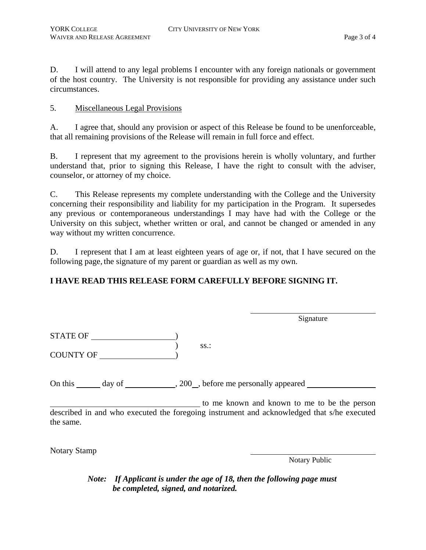D. I will attend to any legal problems I encounter with any foreign nationals or government of the host country. The University is not responsible for providing any assistance under such circumstances.

### 5. Miscellaneous Legal Provisions

A. I agree that, should any provision or aspect of this Release be found to be unenforceable, that all remaining provisions of the Release will remain in full force and effect.

B. I represent that my agreement to the provisions herein is wholly voluntary, and further understand that, prior to signing this Release, I have the right to consult with the adviser, counselor, or attorney of my choice.

C. This Release represents my complete understanding with the College and the University concerning their responsibility and liability for my participation in the Program. It supersedes any previous or contemporaneous understandings I may have had with the College or the University on this subject, whether written or oral, and cannot be changed or amended in any way without my written concurrence.

D. I represent that I am at least eighteen years of age or, if not, that I have secured on the following page, the signature of my parent or guardian as well as my own.

# **I HAVE READ THIS RELEASE FORM CAREFULLY BEFORE SIGNING IT.**

STATE OF )  $\overline{\phantom{a}}$  ss.: COUNTY OF )

Signature

On this  $\_\_\_\_$  day of  $\_\_\_\_\_$ , 200 $\_\_\_\_\$  before me personally appeared  $\_\_\_\_\_\_\_\_$ 

 to me known and known to me to be the person described in and who executed the foregoing instrument and acknowledged that s/he executed the same.

Notary Stamp

Notary Public

*Note: If Applicant is under the age of 18, then the following page must be completed, signed, and notarized.*